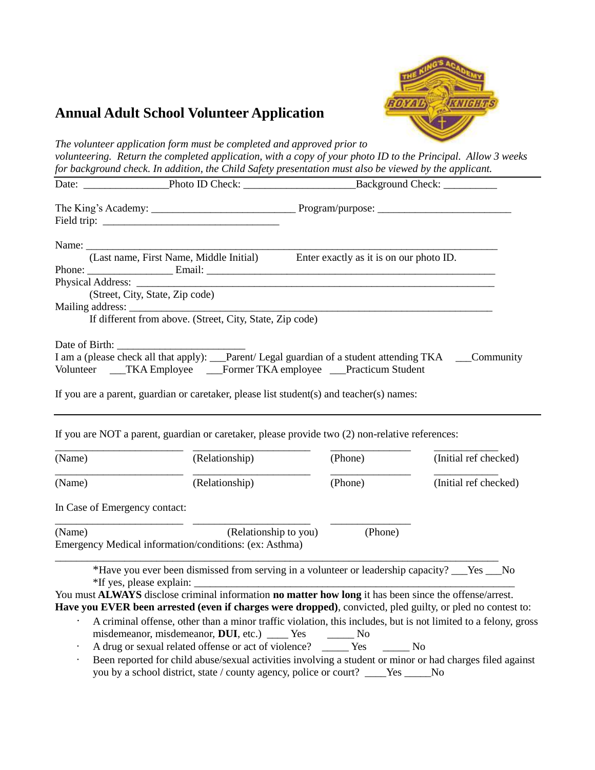

## **Annual Adult School Volunteer Application**

*The volunteer application form must be completed and approved prior to volunteering. Return the completed application, with a copy of your photo ID to the Principal. Allow 3 weeks for background check. In addition, the Child Safety presentation must also be viewed by the applicant.* 

|                                 |                                                                                                                                                                                                                                                                                                                                                                                                  | (Last name, First Name, Middle Initial) Enter exactly as it is on our photo ID. |                       |  |  |
|---------------------------------|--------------------------------------------------------------------------------------------------------------------------------------------------------------------------------------------------------------------------------------------------------------------------------------------------------------------------------------------------------------------------------------------------|---------------------------------------------------------------------------------|-----------------------|--|--|
| (Street, City, State, Zip code) |                                                                                                                                                                                                                                                                                                                                                                                                  |                                                                                 |                       |  |  |
|                                 | If different from above. (Street, City, State, Zip code)                                                                                                                                                                                                                                                                                                                                         |                                                                                 |                       |  |  |
| Date of Birth:<br>(Name)        | I am a (please check all that apply): __Parent/ Legal guardian of a student attending TKA ___Community<br>Volunteer ___TKA Employee ___Former TKA employee ___Practicum Student<br>If you are a parent, guardian or caretaker, please list student(s) and teacher(s) names:<br>If you are NOT a parent, guardian or caretaker, please provide two (2) non-relative references:<br>(Relationship) | (Phone)                                                                         | (Initial ref checked) |  |  |
| (Name)                          | (Relationship)                                                                                                                                                                                                                                                                                                                                                                                   | (Phone)                                                                         | (Initial ref checked) |  |  |
| In Case of Emergency contact:   |                                                                                                                                                                                                                                                                                                                                                                                                  |                                                                                 |                       |  |  |
| (Name)                          | (Relationship to you)<br>Emergency Medical information/conditions: (ex: Asthma)                                                                                                                                                                                                                                                                                                                  | (Phone)                                                                         |                       |  |  |
|                                 | *Have you ever been dismissed from serving in a volunteer or leadership capacity? ___Yes ___No<br>You must ALWAYS disclose criminal information no matter how long it has been since the offense/arrest.<br>Have you EVER been arrested (even if charges were dropped), convicted, pled guilty, or pled no contest to:                                                                           |                                                                                 |                       |  |  |
|                                 | A criminal offense, other than a minor traffic violation, this includes, but is not limited to a felony, gross<br>misdemeanor, misdemeanor, DUI, etc.) _____ Yes _______ No                                                                                                                                                                                                                      |                                                                                 |                       |  |  |

- A drug or sexual related offense or act of violence? \_\_\_\_\_ Yes \_\_\_\_\_ No
- Been reported for child abuse/sexual activities involving a student or minor or had charges filed against you by a school district, state / county agency, police or court? \_\_\_\_Yes \_\_\_\_\_No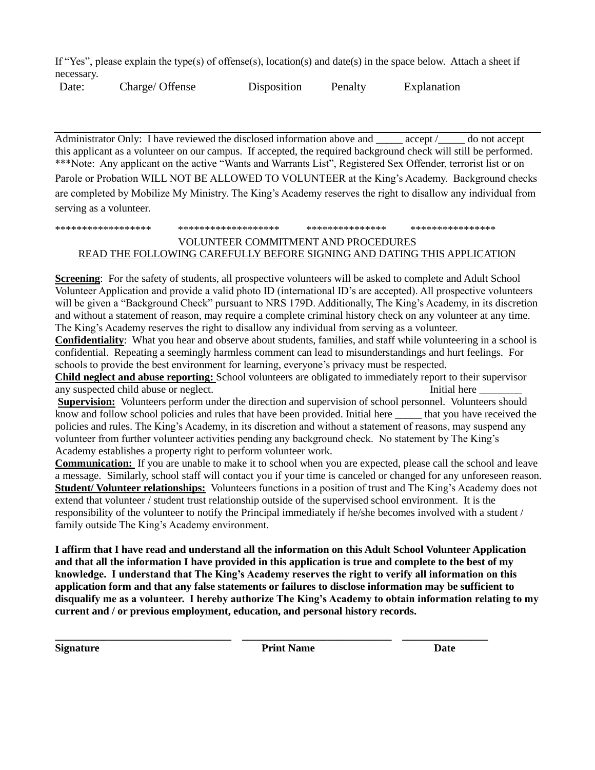If "Yes", please explain the type(s) of offense(s), location(s) and date(s) in the space below. Attach a sheet if necessary.

Date: Charge/ Offense Disposition Penalty Explanation

Administrator Only: I have reviewed the disclosed information above and \_\_\_\_\_ accept /\_\_\_\_\_ do not accept this applicant as a volunteer on our campus. If accepted, the required background check will still be performed. \*\*\*Note: Any applicant on the active "Wants and Warrants List", Registered Sex Offender, terrorist list or on Parole or Probation WILL NOT BE ALLOWED TO VOLUNTEER at the King's Academy. Background checks are completed by Mobilize My Ministry. The King's Academy reserves the right to disallow any individual from serving as a volunteer.

## \*\*\*\*\*\*\*\*\*\*\*\*\*\*\*\*\*\* \*\*\*\*\*\*\*\*\*\*\*\*\*\*\*\*\*\*\* \*\*\*\*\*\*\*\*\*\*\*\*\*\*\* \*\*\*\*\*\*\*\*\*\*\*\*\*\*\*\* VOLUNTEER COMMITMENT AND PROCEDURES READ THE FOLLOWING CAREFULLY BEFORE SIGNING AND DATING THIS APPLICATION

**Screening**: For the safety of students, all prospective volunteers will be asked to complete and Adult School Volunteer Application and provide a valid photo ID (international ID's are accepted). All prospective volunteers will be given a "Background Check" pursuant to NRS 179D. Additionally, The King's Academy, in its discretion and without a statement of reason, may require a complete criminal history check on any volunteer at any time. The King's Academy reserves the right to disallow any individual from serving as a volunteer.

**Confidentiality**: What you hear and observe about students, families, and staff while volunteering in a school is confidential. Repeating a seemingly harmless comment can lead to misunderstandings and hurt feelings. For schools to provide the best environment for learning, everyone's privacy must be respected.

**Child neglect and abuse reporting:** School volunteers are obligated to immediately report to their supervisor any suspected child abuse or neglect. The summary suspected child abuse or neglect.

**Supervision:** Volunteers perform under the direction and supervision of school personnel. Volunteers should know and follow school policies and rules that have been provided. Initial here \_\_\_\_\_ that you have received the policies and rules. The King's Academy, in its discretion and without a statement of reasons, may suspend any volunteer from further volunteer activities pending any background check. No statement by The King's Academy establishes a property right to perform volunteer work.

**Communication:** If you are unable to make it to school when you are expected, please call the school and leave a message. Similarly, school staff will contact you if your time is canceled or changed for any unforeseen reason. **Student/ Volunteer relationships:** Volunteers functions in a position of trust and The King's Academy does not extend that volunteer / student trust relationship outside of the supervised school environment. It is the responsibility of the volunteer to notify the Principal immediately if he/she becomes involved with a student / family outside The King's Academy environment.

**I affirm that I have read and understand all the information on this Adult School Volunteer Application and that all the information I have provided in this application is true and complete to the best of my knowledge. I understand that The King's Academy reserves the right to verify all information on this application form and that any false statements or failures to disclose information may be sufficient to disqualify me as a volunteer. I hereby authorize The King's Academy to obtain information relating to my current and / or previous employment, education, and personal history records.**

**\_\_\_\_\_\_\_\_\_\_\_\_\_\_\_\_\_\_\_\_\_\_\_\_\_\_\_\_\_\_\_\_\_ \_\_\_\_\_\_\_\_\_\_\_\_\_\_\_\_\_\_\_\_\_\_\_\_\_\_\_\_ \_\_\_\_\_\_\_\_\_\_\_\_\_\_\_\_ Signature Print Name Date**